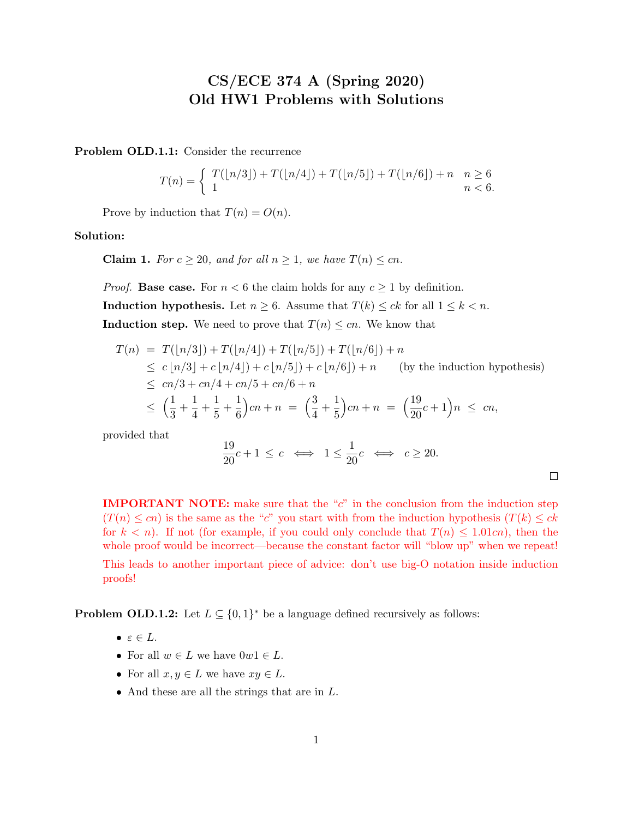## CS/ECE 374 A (Spring 2020) Old HW1 Problems with Solutions

Problem OLD.1.1: Consider the recurrence

$$
T(n) = \begin{cases} T(\lfloor n/3 \rfloor) + T(\lfloor n/4 \rfloor) + T(\lfloor n/5 \rfloor) + T(\lfloor n/6 \rfloor) + n & n \ge 6 \\ 1 & n < 6. \end{cases}
$$

Prove by induction that  $T(n) = O(n)$ .

Solution:

**Claim 1.** For  $c \ge 20$ , and for all  $n \ge 1$ , we have  $T(n) \le cn$ .

*Proof.* Base case. For  $n < 6$  the claim holds for any  $c \ge 1$  by definition. Induction hypothesis. Let  $n \geq 6$ . Assume that  $T(k) \leq ck$  for all  $1 \leq k < n$ . **Induction step.** We need to prove that  $T(n) \leq cn$ . We know that

$$
T(n) = T([n/3]) + T([n/4]) + T([n/5]) + T([n/6]) + n
$$
  
\n
$$
\leq c \lfloor n/3 \rfloor + c \lfloor n/4 \rfloor + c \lfloor n/5 \rfloor + c \lfloor n/6 \rfloor + n
$$
 (by the induction hypothesis)  
\n
$$
\leq cn/3 + cn/4 + cn/5 + cn/6 + n
$$
  
\n
$$
\leq \left(\frac{1}{3} + \frac{1}{4} + \frac{1}{5} + \frac{1}{6}\right)cn + n = \left(\frac{3}{4} + \frac{1}{5}\right)cn + n = \left(\frac{19}{20}c + 1\right)n \leq cn,
$$

provided that

$$
\frac{19}{20}c + 1 \le c \iff 1 \le \frac{1}{20}c \iff c \ge 20.
$$

**IMPORTANT NOTE:** make sure that the " $c$ " in the conclusion from the induction step  $(T(n) \leq cn)$  is the same as the "c" you start with from the induction hypothesis  $(T(k) \leq ck)$ for  $k < n$ ). If not (for example, if you could only conclude that  $T(n) \leq 1.01cn$ ), then the whole proof would be incorrect—because the constant factor will "blow up" when we repeat! This leads to another important piece of advice: don't use big-O notation inside induction proofs!

**Problem OLD.1.2:** Let  $L \subseteq \{0,1\}^*$  be a language defined recursively as follows:

- $\bullet \varepsilon \in L.$
- For all  $w \in L$  we have  $0w1 \in L$ .
- For all  $x, y \in L$  we have  $xy \in L$ .
- And these are all the strings that are in L.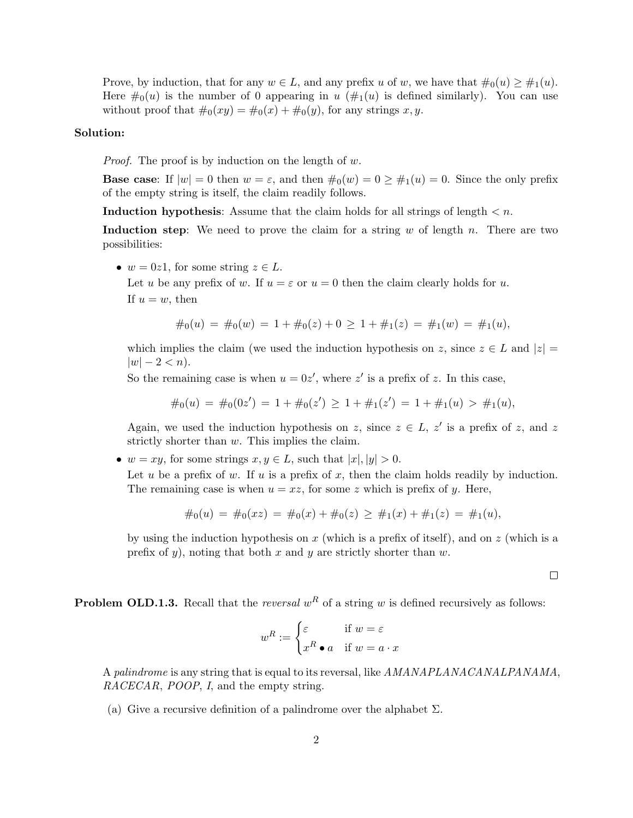Prove, by induction, that for any  $w \in L$ , and any prefix u of w, we have that  $\#_0(u) \geq \#_1(u)$ . Here  $\#_0(u)$  is the number of 0 appearing in u  $(\#_1(u)$  is defined similarly). You can use without proof that  $\#_0(xy) = \#_0(x) + \#_0(y)$ , for any strings x, y.

## Solution:

*Proof.* The proof is by induction on the length of  $w$ .

**Base case:** If  $|w| = 0$  then  $w = \varepsilon$ , and then  $\#_0(w) = 0 \ge \#_1(w) = 0$ . Since the only prefix of the empty string is itself, the claim readily follows.

Induction hypothesis: Assume that the claim holds for all strings of length  $\lt n$ .

**Induction step:** We need to prove the claim for a string  $w$  of length  $n$ . There are two possibilities:

•  $w = 0z1$ , for some string  $z \in L$ .

Let u be any prefix of w. If  $u = \varepsilon$  or  $u = 0$  then the claim clearly holds for u. If  $u = w$ , then

$$
\#_0(u) = \#_0(w) = 1 + \#_0(z) + 0 \ge 1 + \#_1(z) = \#_1(w) = \#_1(u),
$$

which implies the claim (we used the induction hypothesis on z, since  $z \in L$  and  $|z| =$  $|w| - 2 < n$ ).

So the remaining case is when  $u = 0z'$ , where z' is a prefix of z. In this case,

 $\#_0(u) = \#_0(0z') = 1 + \#_0(z') \ge 1 + \#_1(z') = 1 + \#_1(u) > \#_1(u),$ 

Again, we used the induction hypothesis on z, since  $z \in L$ , z' is a prefix of z, and z strictly shorter than w. This implies the claim.

•  $w = xy$ , for some strings  $x, y \in L$ , such that  $|x|, |y| > 0$ .

Let u be a prefix of w. If u is a prefix of x, then the claim holds readily by induction. The remaining case is when  $u = xz$ , for some z which is prefix of y. Here,

$$
#_0(u) = #_0(xz) = #_0(x) + #_0(z) \ge #_1(x) + #_1(z) = #_1(u),
$$

by using the induction hypothesis on  $x$  (which is a prefix of itself), and on  $z$  (which is a prefix of y), noting that both x and y are strictly shorter than  $w$ .

 $\Box$ 

**Problem OLD.1.3.** Recall that the *reversal*  $w<sup>R</sup>$  of a string w is defined recursively as follows:

$$
w^R := \begin{cases} \varepsilon & \text{if } w = \varepsilon \\ x^R \bullet a & \text{if } w = a \cdot x \end{cases}
$$

A palindrome is any string that is equal to its reversal, like AMANAPLANACANALPANAMA, RACECAR, POOP, I, and the empty string.

(a) Give a recursive definition of a palindrome over the alphabet  $\Sigma$ .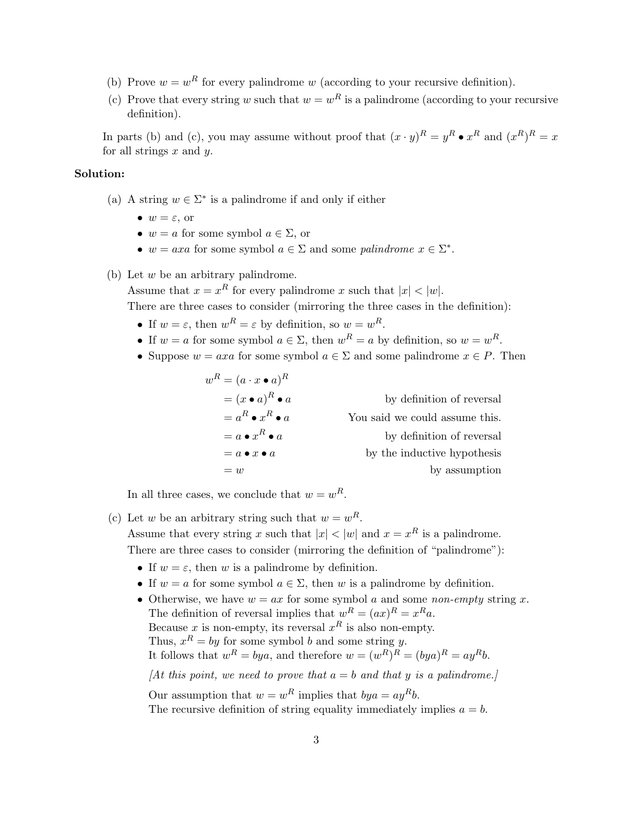- (b) Prove  $w = w^R$  for every palindrome w (according to your recursive definition).
- (c) Prove that every string w such that  $w = w<sup>R</sup>$  is a palindrome (according to your recursive definition).

In parts (b) and (c), you may assume without proof that  $(x \cdot y)^R = y^R \bullet x^R$  and  $(x^R)^R = x$ for all strings  $x$  and  $y$ .

## Solution:

- (a) A string  $w \in \Sigma^*$  is a palindrome if and only if either
	- $w = \varepsilon$ , or
	- $w = a$  for some symbol  $a \in \Sigma$ , or
	- $w = axa$  for some symbol  $a \in \Sigma$  and some palindrome  $x \in \Sigma^*$ .

## (b) Let w be an arbitrary palindrome.

Assume that  $x = x^R$  for every palindrome x such that  $|x| < |w|$ .

There are three cases to consider (mirroring the three cases in the definition):

- If  $w = \varepsilon$ , then  $w^R = \varepsilon$  by definition, so  $w = w^R$ .
- If  $w = a$  for some symbol  $a \in \Sigma$ , then  $w^R = a$  by definition, so  $w = w^R$ .
- Suppose  $w = axa$  for some symbol  $a \in \Sigma$  and some palindrome  $x \in P$ . Then

| $w^R = (a \cdot x \bullet a)^R$ |                                |
|---------------------------------|--------------------------------|
| $=(x\bullet a)^R\bullet a$      | by definition of reversal      |
| $a = a^R \bullet x^R \bullet a$ | You said we could assume this. |
| $= a \bullet x^R \bullet a$     | by definition of reversal      |
| $= a \bullet x \bullet a$       | by the inductive hypothesis    |
| $= w$                           | by assumption                  |

In all three cases, we conclude that  $w = w^R$ .

(c) Let w be an arbitrary string such that  $w = w<sup>R</sup>$ . Assume that every string x such that  $|x| < |w|$  and  $x = x^R$  is a palindrome.

There are three cases to consider (mirroring the definition of "palindrome"):

- If  $w = \varepsilon$ , then w is a palindrome by definition.
- If  $w = a$  for some symbol  $a \in \Sigma$ , then w is a palindrome by definition.
- Otherwise, we have  $w = ax$  for some symbol a and some non-empty string x. The definition of reversal implies that  $w^R = (ax)^R = x^Ra$ . Because x is non-empty, its reversal  $x^R$  is also non-empty. Thus,  $x^R = by$  for some symbol b and some string y. It follows that  $w^R = bya$ , and therefore  $w = (w^R)^R = (bya)^R = ay^Rb$ . [At this point, we need to prove that  $a = b$  and that y is a palindrome.] Our assumption that  $w = w^R$  implies that  $bya = ay^Rb$ . The recursive definition of string equality immediately implies  $a = b$ .